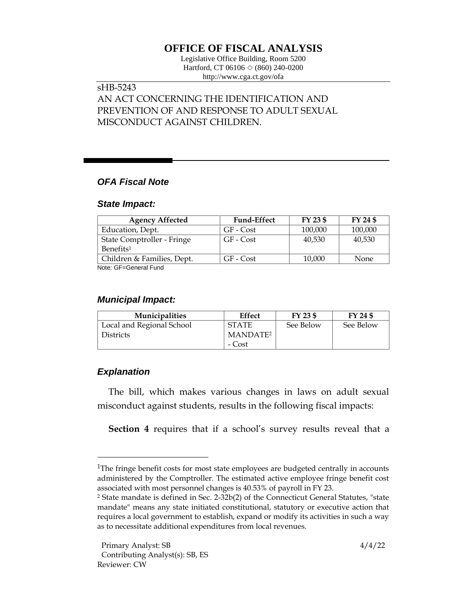## **OFFICE OF FISCAL ANALYSIS**

Legislative Office Building, Room 5200 Hartford, CT 06106  $\Diamond$  (860) 240-0200 http://www.cga.ct.gov/ofa

# sHB-5243

## AN ACT CONCERNING THE IDENTIFICATION AND PREVENTION OF AND RESPONSE TO ADULT SEXUAL MISCONDUCT AGAINST CHILDREN.

## *OFA Fiscal Note*

#### *State Impact:*

| <b>Agency Affected</b>     | <b>Fund-Effect</b> | FY 23 \$ | FY 24 \$ |
|----------------------------|--------------------|----------|----------|
| Education, Dept.           | GF - Cost          | 100,000  | 100,000  |
| State Comptroller - Fringe | GF - Cost          | 40,530   | 40,530   |
| Benefits <sup>1</sup>      |                    |          |          |
| Children & Families, Dept. | GF - Cost          | 10,000   | None     |

Note: GF=General Fund

### *Municipal Impact:*

| <b>Municipalities</b>     | Effect               | FY 23 \$  | FY 24 \$  |
|---------------------------|----------------------|-----------|-----------|
| Local and Regional School | <b>STATE</b>         | See Below | See Below |
| Districts                 | MANDATE <sup>2</sup> |           |           |
|                           | - Cost               |           |           |

## *Explanation*

The bill, which makes various changes in laws on adult sexual misconduct against students, results in the following fiscal impacts:

**Section 4** requires that if a school's survey results reveal that a

<sup>&</sup>lt;sup>1</sup>The fringe benefit costs for most state employees are budgeted centrally in accounts administered by the Comptroller. The estimated active employee fringe benefit cost associated with most personnel changes is 40.53% of payroll in FY 23.

<sup>2</sup> State mandate is defined in Sec. 2-32b(2) of the Connecticut General Statutes, "state mandate" means any state initiated constitutional, statutory or executive action that requires a local government to establish, expand or modify its activities in such a way as to necessitate additional expenditures from local revenues.